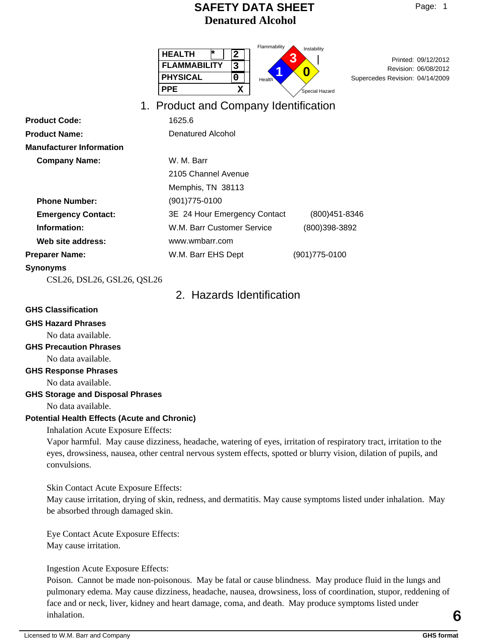| $-10P$ |  |
|--------|--|
|--------|--|

| <b>HEALTH</b>       | っ | Flammability<br>Instability |
|---------------------|---|-----------------------------|
| <b>FLAMMABILITY</b> | 3 |                             |
| <b>PHYSICAL</b>     |   | Health                      |
| PPE                 |   | Special Hazard              |
|                     |   |                             |

Revision: 06/08/2012<br>
Supercodes Bovision: 04/14/2009 Supercedes Revision: 04/14/2009 Printed: 09/12/2012

## 1. Product and Company Identification

| 1625.6                       |               |
|------------------------------|---------------|
| Denatured Alcohol            |               |
|                              |               |
| W. M. Barr                   |               |
| 2105 Channel Avenue          |               |
| Memphis, TN 38113            |               |
| $(901)775 - 0100$            |               |
| 3E 24 Hour Emergency Contact | (800)451-8346 |
| W.M. Barr Customer Service   | (800)398-3892 |
| www.wmbarr.com               |               |
| W.M. Barr EHS Dept           | (901)775-0100 |
|                              |               |

## **Synonyms**

CSL26, DSL26, GSL26, QSL26

# 2. Hazards Identification

#### **GHS Classification**

## **GHS Hazard Phrases**

No data available.

## **GHS Precaution Phrases**

No data available.

## **GHS Response Phrases**

No data available.

## **GHS Storage and Disposal Phrases**

No data available.

## **Potential Health Effects (Acute and Chronic)**

Inhalation Acute Exposure Effects:

Vapor harmful. May cause dizziness, headache, watering of eyes, irritation of respiratory tract, irritation to the eyes, drowsiness, nausea, other central nervous system effects, spotted or blurry vision, dilation of pupils, and convulsions.

Skin Contact Acute Exposure Effects:

May cause irritation, drying of skin, redness, and dermatitis. May cause symptoms listed under inhalation. May be absorbed through damaged skin.

Eye Contact Acute Exposure Effects: May cause irritation.

Ingestion Acute Exposure Effects:

Poison. Cannot be made non-poisonous. May be fatal or cause blindness. May produce fluid in the lungs and pulmonary edema. May cause dizziness, headache, nausea, drowsiness, loss of coordination, stupor, reddening of face and or neck, liver, kidney and heart damage, coma, and death. May produce symptoms listed under inhalation. inhalation.<br> **C**<br> **Example 19** GHS format<br> **Example 19** GHS format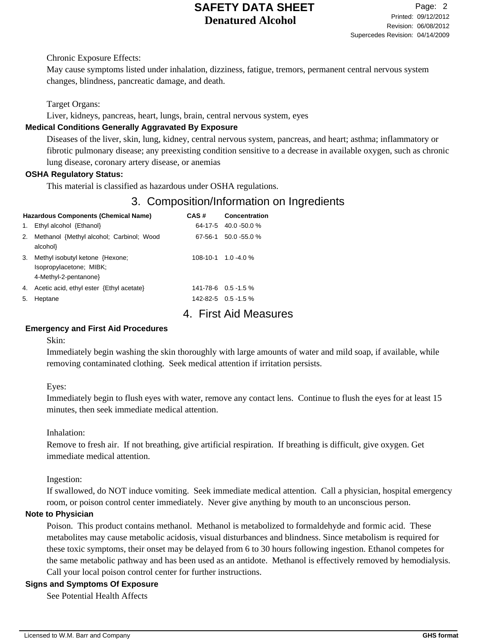Chronic Exposure Effects:

May cause symptoms listed under inhalation, dizziness, fatigue, tremors, permanent central nervous system changes, blindness, pancreatic damage, and death.

Target Organs:

Liver, kidneys, pancreas, heart, lungs, brain, central nervous system, eyes

## **Medical Conditions Generally Aggravated By Exposure**

Diseases of the liver, skin, lung, kidney, central nervous system, pancreas, and heart; asthma; inflammatory or fibrotic pulmonary disease; any preexisting condition sensitive to a decrease in available oxygen, such as chronic lung disease, coronary artery disease, or anemias

## **OSHA Regulatory Status:**

This material is classified as hazardous under OSHA regulations.

# 3. Composition/Information on Ingredients

|    | Hazardous Components (Chemical Name)     | CAS#    | Concentration              |
|----|------------------------------------------|---------|----------------------------|
| 1. | Ethyl alcohol {Ethanol}                  |         | $64-17-5$ 40.0 -50.0 %     |
| 2. | Methanol {Methyl alcohol; Carbinol; Wood | 67-56-1 | $50.0 - 55.0 %$            |
|    | alcohol}                                 |         |                            |
| 3. | Methyl isobutyl ketone {Hexone;          |         | $108 - 10 - 1$ 1.0 - 4.0 % |
|    | Isopropylacetone; MIBK;                  |         |                            |
|    | 4-Methyl-2-pentanone}                    |         |                            |
| 4. | Acetic acid, ethyl ester {Ethyl acetate} |         | $141 - 78 - 6$ 0.5 - 1.5 % |
| 5. | Heptane                                  |         | $142 - 82 - 5$ 0.5 - 1.5 % |
|    |                                          |         |                            |

# 4. First Aid Measures

## **Emergency and First Aid Procedures**

Skin:

Immediately begin washing the skin thoroughly with large amounts of water and mild soap, if available, while removing contaminated clothing. Seek medical attention if irritation persists.

Eyes:

Immediately begin to flush eyes with water, remove any contact lens. Continue to flush the eyes for at least 15 minutes, then seek immediate medical attention.

Inhalation:

Remove to fresh air. If not breathing, give artificial respiration. If breathing is difficult, give oxygen. Get immediate medical attention.

Ingestion:

If swallowed, do NOT induce vomiting. Seek immediate medical attention. Call a physician, hospital emergency room, or poison control center immediately. Never give anything by mouth to an unconscious person.

## **Note to Physician**

Poison. This product contains methanol. Methanol is metabolized to formaldehyde and formic acid. These metabolites may cause metabolic acidosis, visual disturbances and blindness. Since metabolism is required for these toxic symptoms, their onset may be delayed from 6 to 30 hours following ingestion. Ethanol competes for the same metabolic pathway and has been used as an antidote. Methanol is effectively removed by hemodialysis. Call your local poison control center for further instructions.

## **Signs and Symptoms Of Exposure**

See Potential Health Affects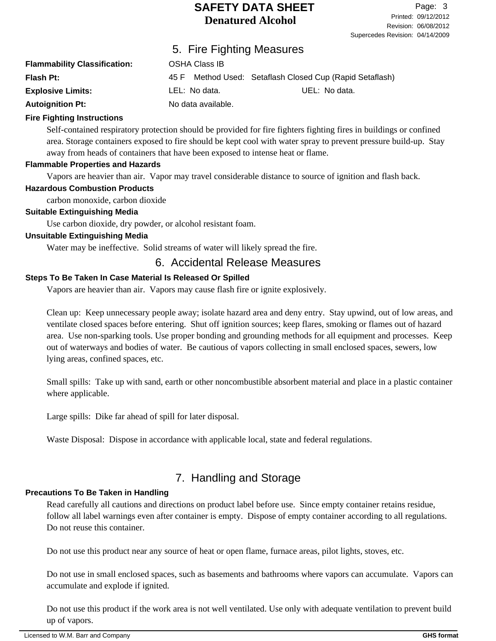|                                     | 5. Fire Fighting Measures |                                                          |  |  |  |  |
|-------------------------------------|---------------------------|----------------------------------------------------------|--|--|--|--|
| <b>Flammability Classification:</b> | <b>OSHA Class IB</b>      |                                                          |  |  |  |  |
| Flash Pt:                           |                           | 45 F Method Used: Setaflash Closed Cup (Rapid Setaflash) |  |  |  |  |
| <b>Explosive Limits:</b>            | LEL: No data.             | UEL: No data.                                            |  |  |  |  |
| <b>Autoignition Pt:</b>             | No data available.        |                                                          |  |  |  |  |

### **Fire Fighting Instructions**

Self-contained respiratory protection should be provided for fire fighters fighting fires in buildings or confined area. Storage containers exposed to fire should be kept cool with water spray to prevent pressure build-up. Stay away from heads of containers that have been exposed to intense heat or flame.

### **Flammable Properties and Hazards**

Vapors are heavier than air. Vapor may travel considerable distance to source of ignition and flash back.

### **Hazardous Combustion Products**

carbon monoxide, carbon dioxide

### **Suitable Extinguishing Media**

Use carbon dioxide, dry powder, or alcohol resistant foam.

## **Unsuitable Extinguishing Media**

Water may be ineffective. Solid streams of water will likely spread the fire.

## 6. Accidental Release Measures

## **Steps To Be Taken In Case Material Is Released Or Spilled**

Vapors are heavier than air. Vapors may cause flash fire or ignite explosively.

Clean up: Keep unnecessary people away; isolate hazard area and deny entry. Stay upwind, out of low areas, and ventilate closed spaces before entering. Shut off ignition sources; keep flares, smoking or flames out of hazard area. Use non-sparking tools. Use proper bonding and grounding methods for all equipment and processes. Keep out of waterways and bodies of water. Be cautious of vapors collecting in small enclosed spaces, sewers, low lying areas, confined spaces, etc.

Small spills: Take up with sand, earth or other noncombustible absorbent material and place in a plastic container where applicable.

Large spills: Dike far ahead of spill for later disposal.

Waste Disposal: Dispose in accordance with applicable local, state and federal regulations.

# 7. Handling and Storage

## **Precautions To Be Taken in Handling**

Read carefully all cautions and directions on product label before use. Since empty container retains residue, follow all label warnings even after container is empty. Dispose of empty container according to all regulations. Do not reuse this container.

Do not use this product near any source of heat or open flame, furnace areas, pilot lights, stoves, etc.

Do not use in small enclosed spaces, such as basements and bathrooms where vapors can accumulate. Vapors can accumulate and explode if ignited.

Do not use this product if the work area is not well ventilated. Use only with adequate ventilation to prevent build up of vapors.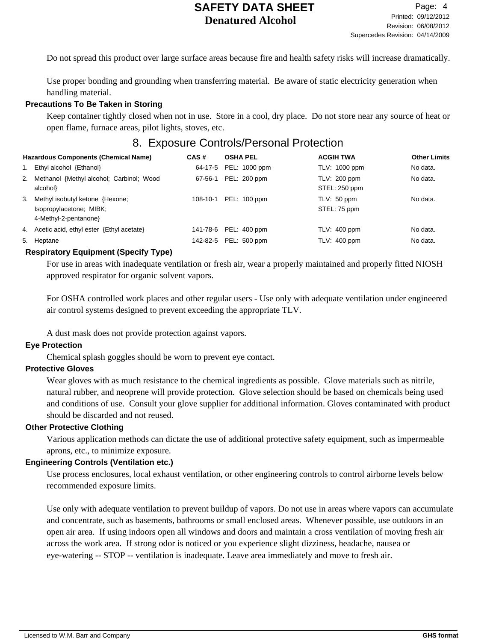Do not spread this product over large surface areas because fire and health safety risks will increase dramatically.

Use proper bonding and grounding when transferring material. Be aware of static electricity generation when handling material.

## **Precautions To Be Taken in Storing**

Keep container tightly closed when not in use. Store in a cool, dry place. Do not store near any source of heat or open flame, furnace areas, pilot lights, stoves, etc.

## 8. Exposure Controls/Personal Protection

| <b>Hazardous Components (Chemical Name)</b> |                                             | CAS#     | <b>OSHA PEL</b>       | <b>ACGIH TWA</b> | <b>Other Limits</b> |
|---------------------------------------------|---------------------------------------------|----------|-----------------------|------------------|---------------------|
|                                             | 1. Ethyl alcohol {Ethanol}                  | 64-17-5  | PEL: 1000 ppm         | TLV: 1000 ppm    | No data.            |
|                                             | 2. Methanol {Methyl alcohol; Carbinol; Wood | 67-56-1  | PEL: 200 ppm          | TLV: 200 ppm     | No data.            |
|                                             | alcohol}                                    |          |                       | STEL: 250 ppm    |                     |
|                                             | 3. Methyl isobutyl ketone {Hexone;          | 108-10-1 | PEL: 100 ppm          | TLV: 50 ppm      | No data.            |
|                                             | Isopropylacetone; MIBK;                     |          |                       | STEL: 75 ppm     |                     |
|                                             | 4-Methyl-2-pentanone                        |          |                       |                  |                     |
|                                             | 4. Acetic acid, ethyl ester {Ethyl acetate} |          | 141-78-6 PEL: 400 ppm | $TLV: 400$ ppm   | No data.            |
|                                             | 5. Heptane                                  | 142-82-5 | PEL: 500 ppm          | $TLV: 400$ ppm   | No data.            |

### **Respiratory Equipment (Specify Type)**

For use in areas with inadequate ventilation or fresh air, wear a properly maintained and properly fitted NIOSH approved respirator for organic solvent vapors.

For OSHA controlled work places and other regular users - Use only with adequate ventilation under engineered air control systems designed to prevent exceeding the appropriate TLV.

A dust mask does not provide protection against vapors.

#### **Eye Protection**

Chemical splash goggles should be worn to prevent eye contact.

## **Protective Gloves**

Wear gloves with as much resistance to the chemical ingredients as possible. Glove materials such as nitrile, natural rubber, and neoprene will provide protection. Glove selection should be based on chemicals being used and conditions of use. Consult your glove supplier for additional information. Gloves contaminated with product should be discarded and not reused.

#### **Other Protective Clothing**

Various application methods can dictate the use of additional protective safety equipment, such as impermeable aprons, etc., to minimize exposure.

#### **Engineering Controls (Ventilation etc.)**

Use process enclosures, local exhaust ventilation, or other engineering controls to control airborne levels below recommended exposure limits.

Use only with adequate ventilation to prevent buildup of vapors. Do not use in areas where vapors can accumulate and concentrate, such as basements, bathrooms or small enclosed areas. Whenever possible, use outdoors in an open air area. If using indoors open all windows and doors and maintain a cross ventilation of moving fresh air across the work area. If strong odor is noticed or you experience slight dizziness, headache, nausea or eye-watering -- STOP -- ventilation is inadequate. Leave area immediately and move to fresh air.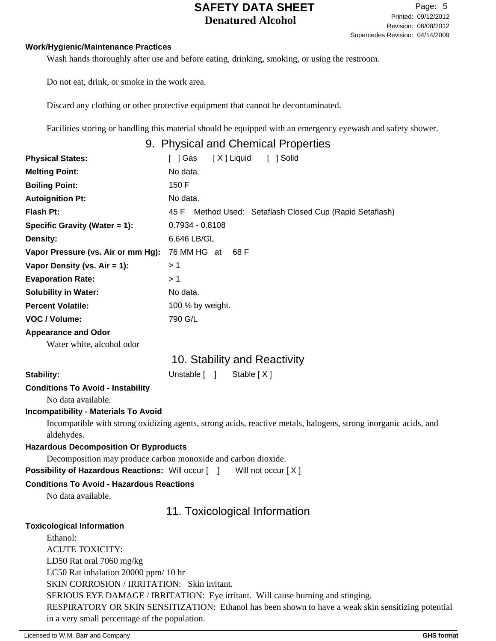### **Work/Hygienic/Maintenance Practices**

Wash hands thoroughly after use and before eating, drinking, smoking, or using the restroom.

Do not eat, drink, or smoke in the work area.

Discard any clothing or other protective equipment that cannot be decontaminated.

Facilities storing or handling this material should be equipped with an emergency eyewash and safety shower.

## 9. Physical and Chemical Properties

| <b>Physical States:</b>            | [ ] Solid<br>[ ] Gas<br>[X] Liquid                          |
|------------------------------------|-------------------------------------------------------------|
| <b>Melting Point:</b>              | No data.                                                    |
| <b>Boiling Point:</b>              | 150 F                                                       |
| <b>Autoignition Pt:</b>            | No data.                                                    |
| <b>Flash Pt:</b>                   | Method Used: Setaflash Closed Cup (Rapid Setaflash)<br>45 F |
| Specific Gravity (Water $= 1$ ):   | $0.7934 - 0.8108$                                           |
| Density:                           | 6.646 LB/GL                                                 |
| Vapor Pressure (vs. Air or mm Hg): | 76 MM HG at<br>68 F                                         |
| Vapor Density (vs. $Air = 1$ ):    | > 1                                                         |
| <b>Evaporation Rate:</b>           | > 1                                                         |
| <b>Solubility in Water:</b>        | No data.                                                    |
| <b>Percent Volatile:</b>           | 100 % by weight.                                            |
| VOC / Volume:                      | 790 G/L                                                     |
| <b>Appearance and Odor</b>         |                                                             |

Water white, alcohol odor

# 10. Stability and Reactivity

Stability: Unstable [ ] Stable [ X ]

## **Conditions To Avoid - Instability**

No data available.

## **Incompatibility - Materials To Avoid**

Incompatible with strong oxidizing agents, strong acids, reactive metals, halogens, strong inorganic acids, and aldehydes.

## **Hazardous Decomposition Or Byproducts**

Decomposition may produce carbon monoxide and carbon dioxide.

**Possibility of Hazardous Reactions:** Will occur [ ] Will not occur [ X ]

## **Conditions To Avoid - Hazardous Reactions**

No data available.

# 11. Toxicological Information

## **Toxicological Information**

Ethanol: ACUTE TOXICITY: LD50 Rat oral 7060 mg/kg LC50 Rat inhalation 20000 ppm/ 10 hr SKIN CORROSION / IRRITATION: Skin irritant. SERIOUS EYE DAMAGE / IRRITATION: Eye irritant. Will cause burning and stinging. RESPIRATORY OR SKIN SENSITIZATION: Ethanol has been shown to have a weak skin sensitizing potential in a very small percentage of the population.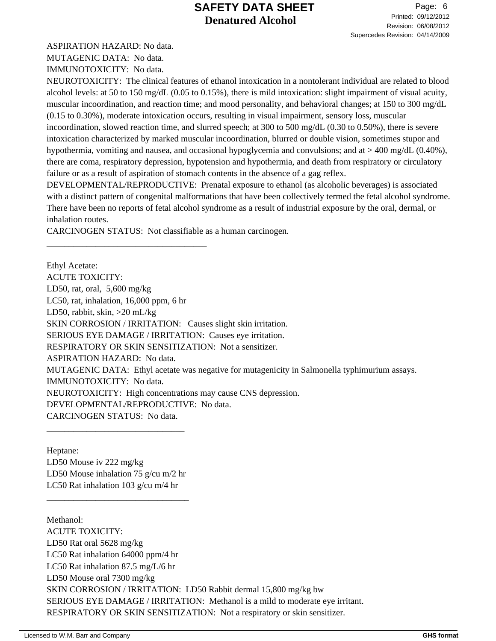ASPIRATION HAZARD: No data.

MUTAGENIC DATA: No data.

IMMUNOTOXICITY: No data.

NEUROTOXICITY: The clinical features of ethanol intoxication in a nontolerant individual are related to blood alcohol levels: at 50 to 150 mg/dL (0.05 to 0.15%), there is mild intoxication: slight impairment of visual acuity, muscular incoordination, and reaction time; and mood personality, and behavioral changes; at 150 to 300 mg/dL (0.15 to 0.30%), moderate intoxication occurs, resulting in visual impairment, sensory loss, muscular incoordination, slowed reaction time, and slurred speech; at 300 to 500 mg/dL (0.30 to 0.50%), there is severe intoxication characterized by marked muscular incoordination, blurred or double vision, sometimes stupor and hypothermia, vomiting and nausea, and occasional hypoglycemia and convulsions; and at > 400 mg/dL (0.40%), there are coma, respiratory depression, hypotension and hypothermia, and death from respiratory or circulatory failure or as a result of aspiration of stomach contents in the absence of a gag reflex.

DEVELOPMENTAL/REPRODUCTIVE: Prenatal exposure to ethanol (as alcoholic beverages) is associated with a distinct pattern of congenital malformations that have been collectively termed the fetal alcohol syndrome. There have been no reports of fetal alcohol syndrome as a result of industrial exposure by the oral, dermal, or inhalation routes.

CARCINOGEN STATUS: Not classifiable as a human carcinogen.

\_\_\_\_\_\_\_\_\_\_\_\_\_\_\_\_\_\_\_\_\_\_\_\_\_\_\_\_\_\_\_\_\_\_\_\_

Ethyl Acetate: ACUTE TOXICITY: LD50, rat, oral, 5,600 mg/kg LC50, rat, inhalation, 16,000 ppm, 6 hr LD50, rabbit, skin, >20 mL/kg SKIN CORROSION / IRRITATION: Causes slight skin irritation. SERIOUS EYE DAMAGE / IRRITATION: Causes eye irritation. RESPIRATORY OR SKIN SENSITIZATION: Not a sensitizer. ASPIRATION HAZARD: No data. MUTAGENIC DATA: Ethyl acetate was negative for mutagenicity in Salmonella typhimurium assays. IMMUNOTOXICITY: No data. NEUROTOXICITY: High concentrations may cause CNS depression. DEVELOPMENTAL/REPRODUCTIVE: No data. CARCINOGEN STATUS: No data.

Heptane: LD50 Mouse iv 222 mg/kg LD50 Mouse inhalation 75 g/cu m/2 hr LC50 Rat inhalation 103 g/cu m/4 hr

\_\_\_\_\_\_\_\_\_\_\_\_\_\_\_\_\_\_\_\_\_\_\_\_\_\_\_\_\_\_\_\_

\_\_\_\_\_\_\_\_\_\_\_\_\_\_\_\_\_\_\_\_\_\_\_\_\_\_\_\_\_\_\_

Methanol: ACUTE TOXICITY: LD50 Rat oral 5628 mg/kg LC50 Rat inhalation 64000 ppm/4 hr LC50 Rat inhalation 87.5 mg/L/6 hr LD50 Mouse oral 7300 mg/kg SKIN CORROSION / IRRITATION: LD50 Rabbit dermal 15,800 mg/kg bw SERIOUS EYE DAMAGE / IRRITATION: Methanol is a mild to moderate eye irritant. RESPIRATORY OR SKIN SENSITIZATION: Not a respiratory or skin sensitizer.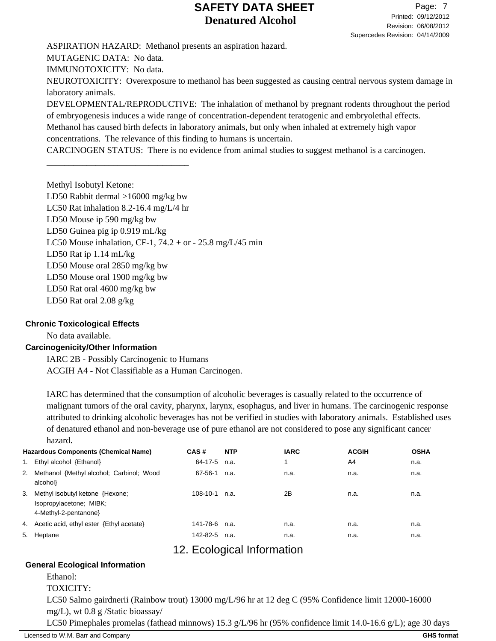ASPIRATION HAZARD: Methanol presents an aspiration hazard. MUTAGENIC DATA: No data. IMMUNOTOXICITY: No data. NEUROTOXICITY: Overexposure to methanol has been suggested as causing central nervous system damage in

laboratory animals. DEVELOPMENTAL/REPRODUCTIVE: The inhalation of methanol by pregnant rodents throughout the period of embryogenesis induces a wide range of concentration-dependent teratogenic and embryolethal effects.

Methanol has caused birth defects in laboratory animals, but only when inhaled at extremely high vapor concentrations. The relevance of this finding to humans is uncertain.

CARCINOGEN STATUS: There is no evidence from animal studies to suggest methanol is a carcinogen.

Methyl Isobutyl Ketone: LD50 Rabbit dermal >16000 mg/kg bw LC50 Rat inhalation 8.2-16.4 mg/L/4 hr LD50 Mouse ip 590 mg/kg bw LD50 Guinea pig ip 0.919 mL/kg LC50 Mouse inhalation, CF-1,  $74.2 + or - 25.8$  mg/L/45 min LD50 Rat ip 1.14 mL/kg LD50 Mouse oral 2850 mg/kg bw LD50 Mouse oral 1900 mg/kg bw LD50 Rat oral 4600 mg/kg bw LD50 Rat oral 2.08 g/kg

\_\_\_\_\_\_\_\_\_\_\_\_\_\_\_\_\_\_\_\_\_\_\_\_\_\_\_\_\_\_\_\_

## **Chronic Toxicological Effects**

No data available.

## **Carcinogenicity/Other Information**

IARC 2B - Possibly Carcinogenic to Humans ACGIH A4 - Not Classifiable as a Human Carcinogen.

IARC has determined that the consumption of alcoholic beverages is casually related to the occurrence of malignant tumors of the oral cavity, pharynx, larynx, esophagus, and liver in humans. The carcinogenic response attributed to drinking alcoholic beverages has not be verified in studies with laboratory animals. Established uses of denatured ethanol and non-beverage use of pure ethanol are not considered to pose any significant cancer hazard.

|    | <b>Hazardous Components (Chemical Name)</b>                                        | CAS#          | <b>NTP</b> | <b>IARC</b> | <b>ACGIH</b> | <b>OSHA</b> |
|----|------------------------------------------------------------------------------------|---------------|------------|-------------|--------------|-------------|
| 1. | Ethyl alcohol {Ethanol}                                                            | 64-17-5       | n.a.       |             | A4           | n.a.        |
|    | 2. Methanol {Methyl alcohol; Carbinol; Wood<br>alcohol}                            | 67-56-1       | n.a.       | n.a.        | n.a.         | n.a.        |
| 3. | Methyl isobutyl ketone {Hexone;<br>Isopropylacetone; MIBK;<br>4-Methyl-2-pentanone | 108-10-1      | n.a.       | 2Β          | n.a.         | n.a.        |
| 4. | Acetic acid, ethyl ester {Ethyl acetate}                                           | 141-78-6 n.a. |            | n.a.        | n.a.         | n.a.        |
| 5. | Heptane                                                                            | 142-82-5      | n.a.       | n.a.        | n.a.         | n.a.        |

# 12. Ecological Information

## **General Ecological Information**

Ethanol:

TOXICITY:

LC50 Salmo gairdnerii (Rainbow trout) 13000 mg/L/96 hr at 12 deg C (95% Confidence limit 12000-16000 mg/L), wt 0.8 g /Static bioassay/

LC50 Pimephales promelas (fathead minnows) 15.3 g/L/96 hr (95% confidence limit 14.0-16.6 g/L); age 30 days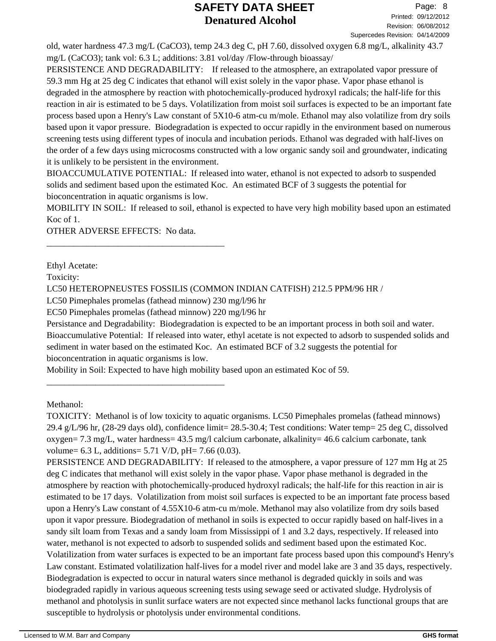old, water hardness 47.3 mg/L (CaCO3), temp 24.3 deg C, pH 7.60, dissolved oxygen 6.8 mg/L, alkalinity 43.7 mg/L (CaCO3); tank vol: 6.3 L; additions: 3.81 vol/day /Flow-through bioassay/

PERSISTENCE AND DEGRADABILITY: If released to the atmosphere, an extrapolated vapor pressure of 59.3 mm Hg at 25 deg C indicates that ethanol will exist solely in the vapor phase. Vapor phase ethanol is degraded in the atmosphere by reaction with photochemically-produced hydroxyl radicals; the half-life for this reaction in air is estimated to be 5 days. Volatilization from moist soil surfaces is expected to be an important fate process based upon a Henry's Law constant of 5X10-6 atm-cu m/mole. Ethanol may also volatilize from dry soils based upon it vapor pressure. Biodegradation is expected to occur rapidly in the environment based on numerous screening tests using different types of inocula and incubation periods. Ethanol was degraded with half-lives on the order of a few days using microcosms constructed with a low organic sandy soil and groundwater, indicating it is unlikely to be persistent in the environment.

BIOACCUMULATIVE POTENTIAL: If released into water, ethanol is not expected to adsorb to suspended solids and sediment based upon the estimated Koc. An estimated BCF of 3 suggests the potential for bioconcentration in aquatic organisms is low.

MOBILITY IN SOIL: If released to soil, ethanol is expected to have very high mobility based upon an estimated Koc of 1.

OTHER ADVERSE EFFECTS: No data.

\_\_\_\_\_\_\_\_\_\_\_\_\_\_\_\_\_\_\_\_\_\_\_\_\_\_\_\_\_\_\_\_\_\_\_\_\_\_\_\_

\_\_\_\_\_\_\_\_\_\_\_\_\_\_\_\_\_\_\_\_\_\_\_\_\_\_\_\_\_\_\_\_\_\_\_\_\_\_\_\_

Ethyl Acetate:

Toxicity:

LC50 HETEROPNEUSTES FOSSILIS (COMMON INDIAN CATFISH) 212.5 PPM/96 HR /

LC50 Pimephales promelas (fathead minnow) 230 mg/l/96 hr

EC50 Pimephales promelas (fathead minnow) 220 mg/l/96 hr

Persistance and Degradability: Biodegradation is expected to be an important process in both soil and water. Bioaccumulative Potential: If released into water, ethyl acetate is not expected to adsorb to suspended solids and sediment in water based on the estimated Koc. An estimated BCF of 3.2 suggests the potential for bioconcentration in aquatic organisms is low.

Mobility in Soil: Expected to have high mobility based upon an estimated Koc of 59.

Methanol:

TOXICITY: Methanol is of low toxicity to aquatic organisms. LC50 Pimephales promelas (fathead minnows) 29.4 g/L/96 hr, (28-29 days old), confidence limit= 28.5-30.4; Test conditions: Water temp= 25 deg C, dissolved oxygen=  $7.3 \text{ mg/L}$ , water hardness=  $43.5 \text{ mg/l}$  calcium carbonate, alkalinity= 46.6 calcium carbonate, tank volume=  $6.3$  L, additions=  $5.71$  V/D, pH=  $7.66$  (0.03).

PERSISTENCE AND DEGRADABILITY: If released to the atmosphere, a vapor pressure of 127 mm Hg at 25 deg C indicates that methanol will exist solely in the vapor phase. Vapor phase methanol is degraded in the atmosphere by reaction with photochemically-produced hydroxyl radicals; the half-life for this reaction in air is estimated to be 17 days. Volatilization from moist soil surfaces is expected to be an important fate process based upon a Henry's Law constant of 4.55X10-6 atm-cu m/mole. Methanol may also volatilize from dry soils based upon it vapor pressure. Biodegradation of methanol in soils is expected to occur rapidly based on half-lives in a sandy silt loam from Texas and a sandy loam from Mississippi of 1 and 3.2 days, respectively. If released into water, methanol is not expected to adsorb to suspended solids and sediment based upon the estimated Koc. Volatilization from water surfaces is expected to be an important fate process based upon this compound's Henry's Law constant. Estimated volatilization half-lives for a model river and model lake are 3 and 35 days, respectively. Biodegradation is expected to occur in natural waters since methanol is degraded quickly in soils and was biodegraded rapidly in various aqueous screening tests using sewage seed or activated sludge. Hydrolysis of methanol and photolysis in sunlit surface waters are not expected since methanol lacks functional groups that are susceptible to hydrolysis or photolysis under environmental conditions.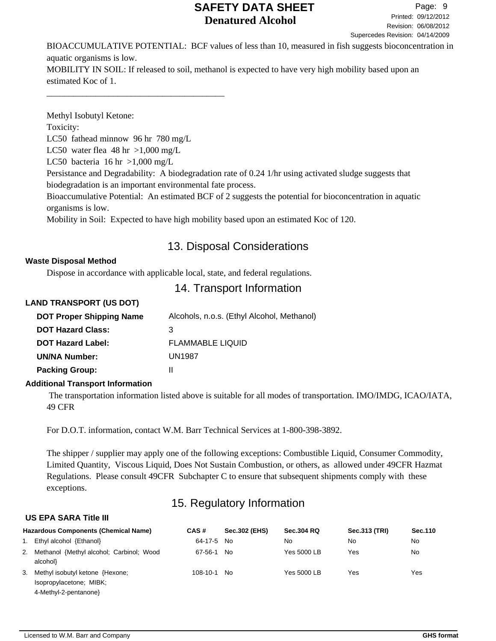BIOACCUMULATIVE POTENTIAL: BCF values of less than 10, measured in fish suggests bioconcentration in aquatic organisms is low. MOBILITY IN SOIL: If released to soil, methanol is expected to have very high mobility based upon an

estimated Koc of 1.

\_\_\_\_\_\_\_\_\_\_\_\_\_\_\_\_\_\_\_\_\_\_\_\_\_\_\_\_\_\_\_\_\_\_\_\_\_\_\_\_

Methyl Isobutyl Ketone: Toxicity: LC50 fathead minnow 96 hr 780 mg/L LC50 water flea  $48 \text{ hr} > 1,000 \text{ mg/L}$ LC50 bacteria  $16 \text{ hr} > 1,000 \text{ mg/L}$ Persistance and Degradability: A biodegradation rate of 0.24 1/hr using activated sludge suggests that biodegradation is an important environmental fate process. Bioaccumulative Potential: An estimated BCF of 2 suggests the potential for bioconcentration in aquatic organisms is low.

Mobility in Soil: Expected to have high mobility based upon an estimated Koc of 120.

# 13. Disposal Considerations

## **Waste Disposal Method**

Dispose in accordance with applicable local, state, and federal regulations.

# 14. Transport Information

## **LAND TRANSPORT (US DOT)**

| <b>DOT Proper Shipping Name</b> | Alcohols, n.o.s. (Ethyl Alcohol, Methanol) |
|---------------------------------|--------------------------------------------|
| <b>DOT Hazard Class:</b>        | з                                          |
| <b>DOT Hazard Label:</b>        | <b>FLAMMABLE LIQUID</b>                    |
| <b>UN/NA Number:</b>            | UN1987                                     |
| <b>Packing Group:</b>           |                                            |
|                                 |                                            |

## **Additional Transport Information**

 The transportation information listed above is suitable for all modes of transportation. IMO/IMDG, ICAO/IATA, 49 CFR

For D.O.T. information, contact W.M. Barr Technical Services at 1-800-398-3892.

The shipper / supplier may apply one of the following exceptions: Combustible Liquid, Consumer Commodity, Limited Quantity, Viscous Liquid, Does Not Sustain Combustion, or others, as allowed under 49CFR Hazmat Regulations. Please consult 49CFR Subchapter C to ensure that subsequent shipments comply with these exceptions.

# 15. Regulatory Information

## **US EPA SARA Title III**

| <b>Hazardous Components (Chemical Name)</b>                                           | CAS#           | <b>Sec.302 (EHS)</b> | <b>Sec.304 RQ</b> | Sec.313 (TRI) | Sec.110 |
|---------------------------------------------------------------------------------------|----------------|----------------------|-------------------|---------------|---------|
| 1. Ethyl alcohol {Ethanol}                                                            | 64-17-5 No     |                      | No                | No            | No      |
| 2. Methanol {Methyl alcohol; Carbinol; Wood<br>alcohol}                               | 67-56-1        | No.                  | Yes 5000 LB       | Yes           | No      |
| 3. Methyl isobutyl ketone {Hexone;<br>Isopropylacetone; MIBK;<br>4-Methyl-2-pentanone | $108 - 10 - 1$ | No.                  | Yes 5000 LB       | Yes           | Yes     |